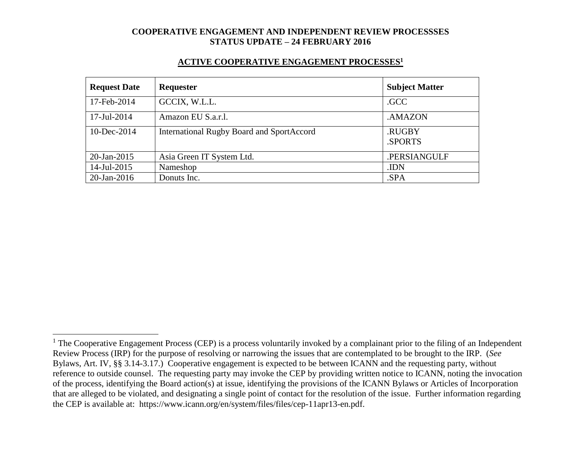#### **ACTIVE COOPERATIVE ENGAGEMENT PROCESSES<sup>1</sup>**

| <b>Request Date</b> | Requester                                        | <b>Subject Matter</b> |
|---------------------|--------------------------------------------------|-----------------------|
| 17-Feb-2014         | GCCIX, W.L.L.                                    | .GCC                  |
| 17-Jul-2014         | Amazon EU S.a.r.l.                               | .AMAZON               |
| $10$ -Dec-2014      | <b>International Rugby Board and SportAccord</b> | .RUGBY<br>.SPORTS     |
| $20$ -Jan-2015      | Asia Green IT System Ltd.                        | .PERSIANGULF          |
| 14-Jul-2015         | Nameshop                                         | .IDN                  |
| $20$ -Jan-2016      | Donuts Inc.                                      | .SPA                  |

 $1$  The Cooperative Engagement Process (CEP) is a process voluntarily invoked by a complainant prior to the filing of an Independent Review Process (IRP) for the purpose of resolving or narrowing the issues that are contemplated to be brought to the IRP. (*See* Bylaws, Art. IV, §§ 3.14-3.17.) Cooperative engagement is expected to be between ICANN and the requesting party, without reference to outside counsel. The requesting party may invoke the CEP by providing written notice to ICANN, noting the invocation of the process, identifying the Board action(s) at issue, identifying the provisions of the ICANN Bylaws or Articles of Incorporation that are alleged to be violated, and designating a single point of contact for the resolution of the issue. Further information regarding the CEP is available at: https://www.icann.org/en/system/files/files/cep-11apr13-en.pdf.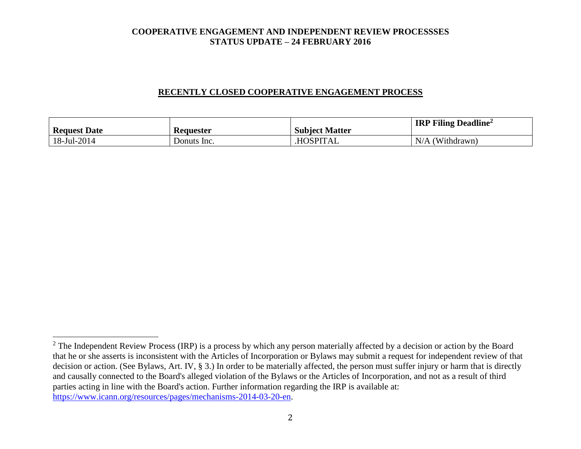### **RECENTLY CLOSED COOPERATIVE ENGAGEMENT PROCESS**

| <b>Request Date</b> | Keauester   | <b>Subject Matter</b> | <b>IRP Filing Deadline</b> <sup>2</sup> |
|---------------------|-------------|-----------------------|-----------------------------------------|
| 18-Jul-2014         | Donuts Inc. | <b>HOSPITAL</b>       | N/A<br>(Withdrawn)                      |

 $2$  The Independent Review Process (IRP) is a process by which any person materially affected by a decision or action by the Board that he or she asserts is inconsistent with the Articles of Incorporation or Bylaws may submit a request for independent review of that decision or action. (See Bylaws, Art. IV, § 3.) In order to be materially affected, the person must suffer injury or harm that is directly and causally connected to the Board's alleged violation of the Bylaws or the Articles of Incorporation, and not as a result of third parties acting in line with the Board's action. Further information regarding the IRP is available at: [https://www.icann.org/resources/pages/mechanisms-2014-03-20-en.](https://www.icann.org/resources/pages/mechanisms-2014-03-20-en)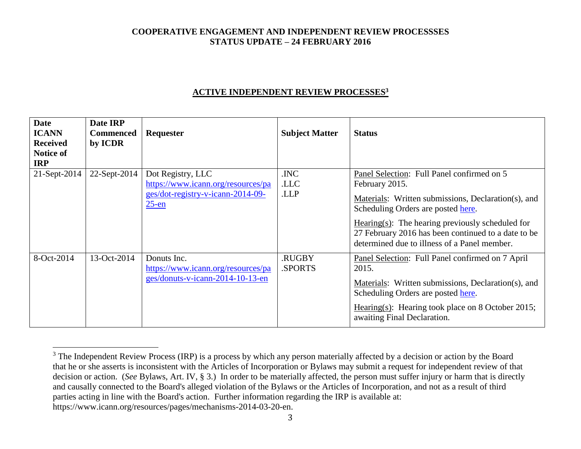## **ACTIVE INDEPENDENT REVIEW PROCESSES<sup>3</sup>**

| <b>Date</b><br><b>ICANN</b><br><b>Received</b><br>Notice of<br><b>IRP</b> | Date IRP<br><b>Commenced</b><br>by ICDR | <b>Requester</b>                                                                                         | <b>Subject Matter</b>   | <b>Status</b>                                                                                                                                                                                                                                                                                                          |
|---------------------------------------------------------------------------|-----------------------------------------|----------------------------------------------------------------------------------------------------------|-------------------------|------------------------------------------------------------------------------------------------------------------------------------------------------------------------------------------------------------------------------------------------------------------------------------------------------------------------|
| 21-Sept-2014                                                              | 22-Sept-2014                            | Dot Registry, LLC<br>https://www.icann.org/resources/pa<br>ges/dot-registry-v-icann-2014-09-<br>$25$ -en | .INC<br>.LLC<br>.LLP    | Panel Selection: Full Panel confirmed on 5<br>February 2015.<br>Materials: Written submissions, Declaration(s), and<br>Scheduling Orders are posted here.<br>$Hearing(s):$ The hearing previously scheduled for<br>27 February 2016 has been continued to a date to be<br>determined due to illness of a Panel member. |
| 8-Oct-2014                                                                | 13-Oct-2014                             | Donuts Inc.<br>https://www.icann.org/resources/pa<br>ges/donuts-v-icann-2014-10-13-en                    | <b>RUGBY</b><br>SPORTS. | Panel Selection: Full Panel confirmed on 7 April<br>2015.<br>Materials: Written submissions, Declaration(s), and<br>Scheduling Orders are posted here.<br>Hearing(s): Hearing took place on 8 October 2015;<br>awaiting Final Declaration.                                                                             |

 $3$  The Independent Review Process (IRP) is a process by which any person materially affected by a decision or action by the Board that he or she asserts is inconsistent with the Articles of Incorporation or Bylaws may submit a request for independent review of that decision or action. (*See* Bylaws, Art. IV, § 3.) In order to be materially affected, the person must suffer injury or harm that is directly and causally connected to the Board's alleged violation of the Bylaws or the Articles of Incorporation, and not as a result of third parties acting in line with the Board's action. Further information regarding the IRP is available at: https://www.icann.org/resources/pages/mechanisms-2014-03-20-en.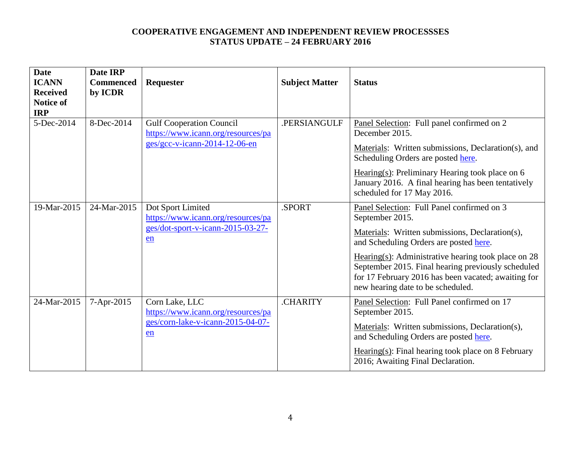| <b>Date</b><br><b>ICANN</b><br><b>Received</b><br><b>Notice of</b><br><b>IRP</b> | Date IRP<br><b>Commenced</b><br>by ICDR | Requester                                                                                                | <b>Subject Matter</b> | <b>Status</b>                                                                                                                                                                                                                                                                                                                                                         |
|----------------------------------------------------------------------------------|-----------------------------------------|----------------------------------------------------------------------------------------------------------|-----------------------|-----------------------------------------------------------------------------------------------------------------------------------------------------------------------------------------------------------------------------------------------------------------------------------------------------------------------------------------------------------------------|
| 5-Dec-2014                                                                       | 8-Dec-2014                              | <b>Gulf Cooperation Council</b><br>https://www.icann.org/resources/pa<br>$ges/gcc-v-icann-2014-12-06-en$ | .PERSIANGULF          | Panel Selection: Full panel confirmed on 2<br>December 2015.<br>Materials: Written submissions, Declaration(s), and<br>Scheduling Orders are posted here.<br>Hearing $(s)$ : Preliminary Hearing took place on 6<br>January 2016. A final hearing has been tentatively<br>scheduled for 17 May 2016.                                                                  |
| 19-Mar-2015                                                                      | 24-Mar-2015                             | Dot Sport Limited<br>https://www.icann.org/resources/pa<br>ges/dot-sport-v-icann-2015-03-27-<br>en       | .SPORT                | Panel Selection: Full Panel confirmed on 3<br>September 2015.<br>Materials: Written submissions, Declaration(s),<br>and Scheduling Orders are posted here.<br>Hearing(s): Administrative hearing took place on $28$<br>September 2015. Final hearing previously scheduled<br>for 17 February 2016 has been vacated; awaiting for<br>new hearing date to be scheduled. |
| 24-Mar-2015                                                                      | 7-Apr-2015                              | Corn Lake, LLC<br>https://www.icann.org/resources/pa<br>ges/corn-lake-v-icann-2015-04-07-<br>en          | .CHARITY              | Panel Selection: Full Panel confirmed on 17<br>September 2015.<br>Materials: Written submissions, Declaration(s),<br>and Scheduling Orders are posted here.<br>$Hearing(s): Final hearing took place on 8 February$<br>2016; Awaiting Final Declaration.                                                                                                              |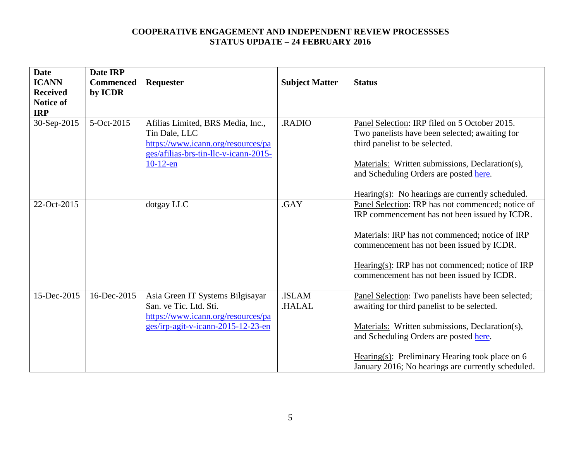| <b>Date</b><br><b>ICANN</b><br><b>Received</b><br><b>Notice of</b> | Date IRP<br><b>Commenced</b><br>by ICDR | Requester                                                                                                                                        | <b>Subject Matter</b> | <b>Status</b>                                                                                                                                                                                                                                                                                             |
|--------------------------------------------------------------------|-----------------------------------------|--------------------------------------------------------------------------------------------------------------------------------------------------|-----------------------|-----------------------------------------------------------------------------------------------------------------------------------------------------------------------------------------------------------------------------------------------------------------------------------------------------------|
| <b>IRP</b><br>30-Sep-2015                                          | 5-Oct-2015                              | Afilias Limited, BRS Media, Inc.,<br>Tin Dale, LLC<br>https://www.icann.org/resources/pa<br>ges/afilias-brs-tin-llc-v-icann-2015-<br>$10-12$ -en | .RADIO                | Panel Selection: IRP filed on 5 October 2015.<br>Two panelists have been selected; awaiting for<br>third panelist to be selected.<br>Materials: Written submissions, Declaration(s),<br>and Scheduling Orders are posted here.<br>$Hearing(s)$ : No hearings are currently scheduled.                     |
| 22-Oct-2015                                                        |                                         | dotgay LLC                                                                                                                                       | .GAY                  | Panel Selection: IRP has not commenced; notice of<br>IRP commencement has not been issued by ICDR.<br>Materials: IRP has not commenced; notice of IRP<br>commencement has not been issued by ICDR.<br>Hearing(s): IRP has not commenced; notice of IRP<br>commencement has not been issued by ICDR.       |
| 15-Dec-2015                                                        | 16-Dec-2015                             | Asia Green IT Systems Bilgisayar<br>San. ve Tic. Ltd. Sti.<br>https://www.icann.org/resources/pa<br>ges/irp-agit-v-icann-2015-12-23-en           | .ISLAM<br>.HALAL      | Panel Selection: Two panelists have been selected;<br>awaiting for third panelist to be selected.<br>Materials: Written submissions, Declaration(s),<br>and Scheduling Orders are posted here.<br>Hearing(s): Preliminary Hearing took place on $6$<br>January 2016; No hearings are currently scheduled. |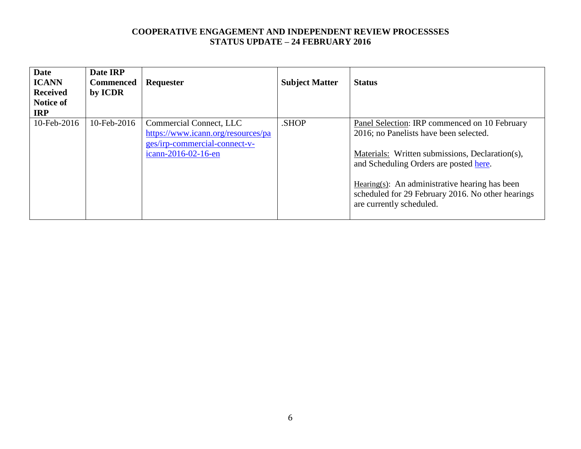| <b>Date</b><br><b>ICANN</b><br><b>Received</b><br><b>Notice of</b><br><b>IRP</b> | Date IRP<br><b>Commenced</b><br>by ICDR | <b>Requester</b>                                                                                                      | <b>Subject Matter</b> | <b>Status</b>                                                                                                                                                                                                                                                                                                               |
|----------------------------------------------------------------------------------|-----------------------------------------|-----------------------------------------------------------------------------------------------------------------------|-----------------------|-----------------------------------------------------------------------------------------------------------------------------------------------------------------------------------------------------------------------------------------------------------------------------------------------------------------------------|
| 10-Feb-2016                                                                      | 10-Feb-2016                             | Commercial Connect, LLC<br>https://www.icann.org/resources/pa<br>ges/irp-commercial-connect-v-<br>icann-2016-02-16-en | .SHOP                 | Panel Selection: IRP commenced on 10 February<br>2016; no Panelists have been selected.<br>Materials: Written submissions, Declaration(s),<br>and Scheduling Orders are posted here.<br>Hearing $(s)$ : An administrative hearing has been<br>scheduled for 29 February 2016. No other hearings<br>are currently scheduled. |